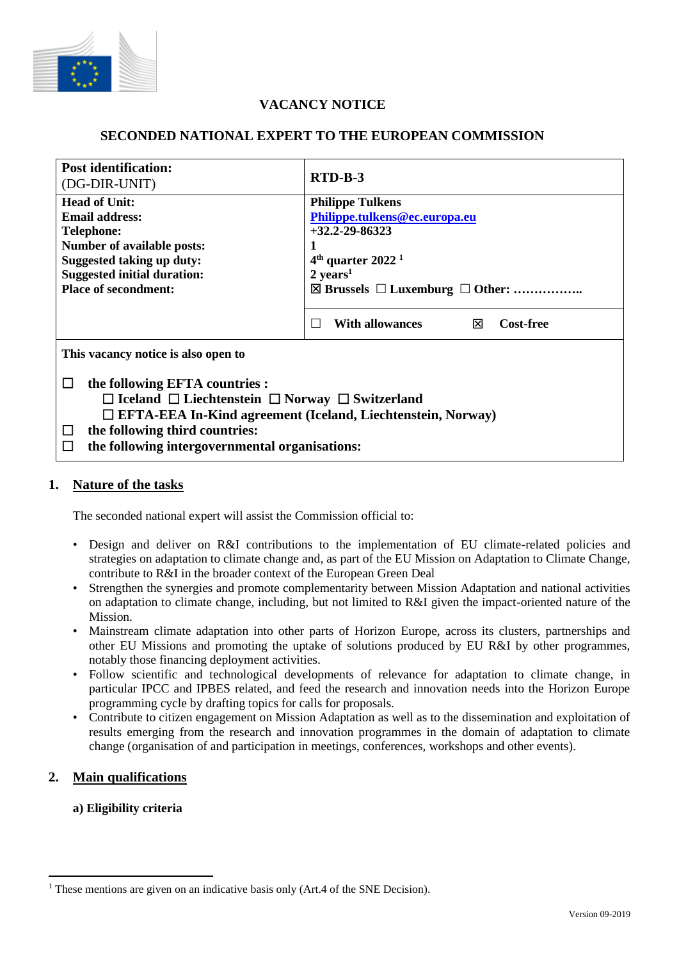

# **VACANCY NOTICE**

# **SECONDED NATIONAL EXPERT TO THE EUROPEAN COMMISSION**

| <b>Post identification:</b><br>(DG-DIR-UNIT)                         | RTD-B-3                                                  |
|----------------------------------------------------------------------|----------------------------------------------------------|
| <b>Head of Unit:</b>                                                 | <b>Philippe Tulkens</b>                                  |
| <b>Email address:</b>                                                | Philippe.tulkens@ec.europa.eu                            |
| <b>Telephone:</b>                                                    | $+32.2 - 29 - 86323$                                     |
| Number of available posts:                                           |                                                          |
| <b>Suggested taking up duty:</b>                                     | $4th$ quarter 2022 <sup>1</sup>                          |
| <b>Suggested initial duration:</b>                                   | $2 \text{ years}^1$                                      |
| <b>Place of secondment:</b>                                          | $\boxtimes$ Brussels $\Box$ Luxemburg $\Box$ Other:      |
|                                                                      |                                                          |
|                                                                      | <b>Cost-free</b><br>With allowances<br>⊠<br>$\mathbf{I}$ |
| This vacancy notice is also open to                                  |                                                          |
| the following EFTA countries :<br>$\Box$                             |                                                          |
| $\Box$ Iceland $\Box$ Liechtenstein $\Box$ Norway $\Box$ Switzerland |                                                          |
| □ EFTA-EEA In-Kind agreement (Iceland, Liechtenstein, Norway)        |                                                          |
| the following third countries:<br>$\Box$                             |                                                          |
| the following intergovernmental organisations:<br>$\Box$             |                                                          |

### **1. Nature of the tasks**

The seconded national expert will assist the Commission official to:

- Design and deliver on R&I contributions to the implementation of EU climate-related policies and strategies on adaptation to climate change and, as part of the EU Mission on Adaptation to Climate Change, contribute to R&I in the broader context of the European Green Deal
- Strengthen the synergies and promote complementarity between Mission Adaptation and national activities on adaptation to climate change, including, but not limited to R&I given the impact-oriented nature of the Mission.
- Mainstream climate adaptation into other parts of Horizon Europe, across its clusters, partnerships and other EU Missions and promoting the uptake of solutions produced by EU R&I by other programmes, notably those financing deployment activities.
- Follow scientific and technological developments of relevance for adaptation to climate change, in particular IPCC and IPBES related, and feed the research and innovation needs into the Horizon Europe programming cycle by drafting topics for calls for proposals.
- Contribute to citizen engagement on Mission Adaptation as well as to the dissemination and exploitation of results emerging from the research and innovation programmes in the domain of adaptation to climate change (organisation of and participation in meetings, conferences, workshops and other events).

# **2. Main qualifications**

### **a) Eligibility criteria**

<sup>&</sup>lt;sup>1</sup> These mentions are given on an indicative basis only (Art.4 of the SNE Decision).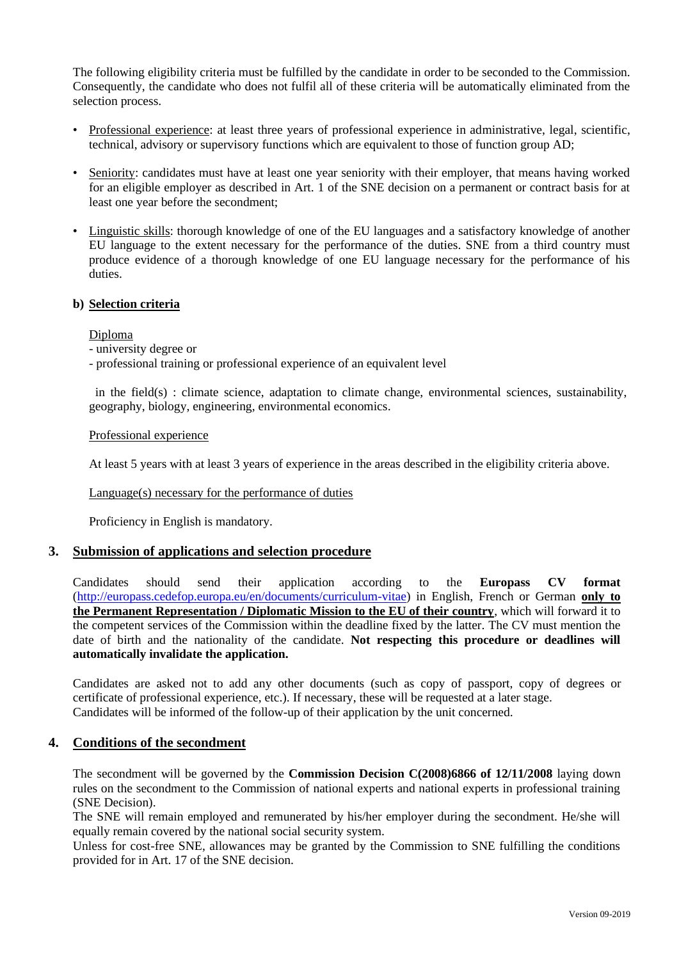The following eligibility criteria must be fulfilled by the candidate in order to be seconded to the Commission. Consequently, the candidate who does not fulfil all of these criteria will be automatically eliminated from the selection process.

- Professional experience: at least three years of professional experience in administrative, legal, scientific, technical, advisory or supervisory functions which are equivalent to those of function group AD;
- Seniority: candidates must have at least one year seniority with their employer, that means having worked for an eligible employer as described in Art. 1 of the SNE decision on a permanent or contract basis for at least one year before the secondment;
- Linguistic skills: thorough knowledge of one of the EU languages and a satisfactory knowledge of another EU language to the extent necessary for the performance of the duties. SNE from a third country must produce evidence of a thorough knowledge of one EU language necessary for the performance of his duties.

#### **b) Selection criteria**

Diploma

- university degree or
- professional training or professional experience of an equivalent level

 in the field(s) : climate science, adaptation to climate change, environmental sciences, sustainability, geography, biology, engineering, environmental economics.

#### Professional experience

At least 5 years with at least 3 years of experience in the areas described in the eligibility criteria above.

Language(s) necessary for the performance of duties

Proficiency in English is mandatory.

#### **3. Submission of applications and selection procedure**

Candidates should send their application according to the **Europass CV format**  [\(http://europass.cedefop.europa.eu/en/documents/curriculum-vitae\)](http://europass.cedefop.europa.eu/en/documents/curriculum-vitae) in English, French or German **only to the Permanent Representation / Diplomatic Mission to the EU of their country**, which will forward it to the competent services of the Commission within the deadline fixed by the latter. The CV must mention the date of birth and the nationality of the candidate. **Not respecting this procedure or deadlines will automatically invalidate the application.**

Candidates are asked not to add any other documents (such as copy of passport, copy of degrees or certificate of professional experience, etc.). If necessary, these will be requested at a later stage. Candidates will be informed of the follow-up of their application by the unit concerned.

#### **4. Conditions of the secondment**

The secondment will be governed by the **Commission Decision C(2008)6866 of 12/11/2008** laying down rules on the secondment to the Commission of national experts and national experts in professional training (SNE Decision).

The SNE will remain employed and remunerated by his/her employer during the secondment. He/she will equally remain covered by the national social security system.

Unless for cost-free SNE, allowances may be granted by the Commission to SNE fulfilling the conditions provided for in Art. 17 of the SNE decision.